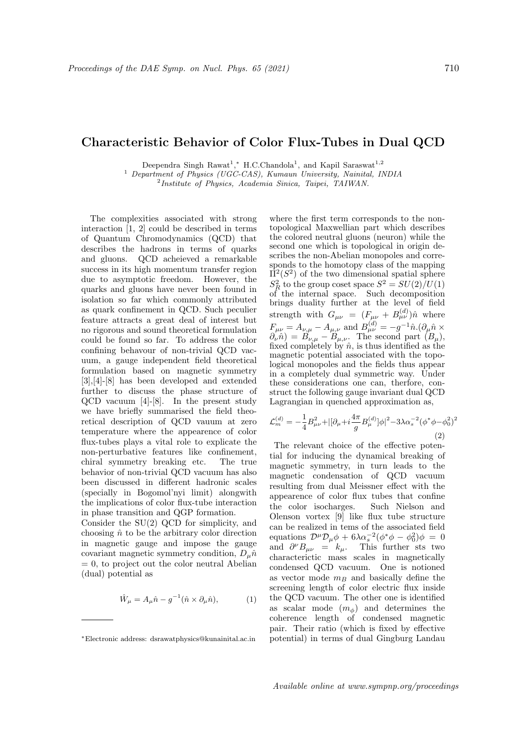## Characteristic Behavior of Color Flux-Tubes in Dual QCD

Deependra Singh Rawat<sup>1</sup>,\* H.C.Chandola<sup>1</sup>, and Kapil Saraswat<sup>1,2</sup>

<sup>1</sup> Department of Physics (UGC-CAS), Kumaun University, Nainital, INDIA

<sup>2</sup>Institute of Physics, Academia Sinica, Taipei, TAIWAN.

The complexities associated with strong interaction [1, 2] could be described in terms of Quantum Chromodynamics (QCD) that describes the hadrons in terms of quarks and gluons. QCD acheieved a remarkable success in its high momentum transfer region due to asymptotic freedom. However, the quarks and gluons have never been found in isolation so far which commonly attributed as quark confinement in QCD. Such peculier feature attracts a great deal of interest but no rigorous and sound theoretical formulation could be found so far. To address the color confining behavour of non-trivial QCD vacuum, a gauge independent field theoretical formulation based on magnetic symmetry [3],[4]-[8] has been developed and extended further to discuss the phase structure of QCD vacuum [4]-[8]. In the present study we have briefly summarised the field theoretical description of QCD vauum at zero temperature where the appearence of color flux-tubes plays a vital role to explicate the non-perturbative features like confinement, chiral symmetry breaking etc. The true behavior of non-trivial QCD vacuum has also been discussed in different hadronic scales (specially in Bogomol'nyi limit) alongwith the implications of color flux-tube interaction in phase transition and QGP formation.

Consider the SU(2) QCD for simplicity, and choosing  $\hat{n}$  to be the arbitrary color direction in magnetic gauge and impose the gauge covariant magnetic symmetry condition,  $D_{\mu}\hat{n}$  $= 0$ , to project out the color neutral Abelian (dual) potential as

$$
\hat{W}_{\mu} = A_{\mu}\hat{n} - g^{-1}(\hat{n} \times \partial_{\mu}\hat{n}), \tag{1}
$$

where the first term corresponds to the nontopological Maxwellian part which describes the colored neutral gluons (neuron) while the second one which is topological in origin describes the non-Abelian monopoles and corresponds to the homotopy class of the mapping  $\Pi^2(S^2)$  of the two dimensional spatial sphere  $S_R^2$  to the group coset space  $S^2 = SU(2)/U(1)$ of the internal space. Such decomposition brings duality further at the level of field strength with  $G_{\mu\nu} = (F_{\mu\nu} + B_{\mu\nu}^{(d)})\hat{n}$  where  $F_{\mu\nu} = A_{\nu,\mu} - A_{\mu,\nu}$  and  $B_{\mu\nu}^{(d)} = -g^{-1}\hat{n}.(\partial_{\mu}\hat{n} \times \partial_{\nu}\hat{n})$  $\partial_{\nu}\hat{n}$  =  $B_{\nu,\mu}$  –  $B_{\mu,\nu}$ . The second part  $(B_{\mu})$ , fixed completely by  $\hat{n}$ , is thus identified as the magnetic potential associated with the topological monopoles and the fields thus appear in a completely dual symmetric way. Under these considerations one can, therfore, construct the following gauge invariant dual QCD Lagrangian in quenched approximation as,

$$
\mathcal{L}_m^{(d)} = -\frac{1}{4}B_{\mu\nu}^2 + |[\partial_\mu + i\frac{4\pi}{g}B_\mu^{(d)}]\phi|^2 - 3\lambda\alpha_s^{-2}(\phi^*\phi - \phi_0^2)^2
$$
\n(2)

The relevant choice of the effective potential for inducing the dynamical breaking of magnetic symmetry, in turn leads to the magnetic condensation of QCD vacuum resulting from dual Meissner effect with the appearence of color flux tubes that confine the color isocharges. Such Nielson and Olenson vortex [9] like flux tube structure can be realized in tems of the associated field equations  $\mathcal{D}^{\mu} \mathcal{D}_{\mu} \phi + 6\lambda \alpha_s^{-2} (\phi^* \phi - \phi_0^2) \phi = 0$ and  $\partial^{\nu}B_{\mu\nu} = k_{\mu}$ . This further sts two characterictic mass scales in magnetically condensed QCD vacuum. One is notioned as vector mode  $m_B$  and basically define the screening length of color electric flux inside the QCD vacuum. The other one is identified as scalar mode  $(m_{\phi})$  and determines the coherence length of condensed magnetic pair. Their ratio (which is fixed by effective potential) in terms of dual Gingburg Landau

<sup>∗</sup>Electronic address: dsrawatphysics@kunainital.ac.in